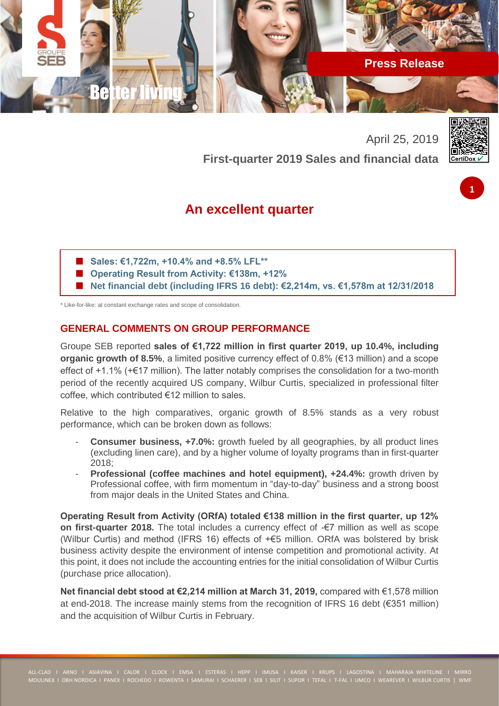

April 25, 2019 **First-quarter 2019 Sales and financial data**



**1**

# **An excellent quarter**

- **Sales: €1,722m, +10.4% and +8.5% LFL\*\***
- **Operating Result from Activity: €138m, +12%**
- **Net financial debt (including IFRS 16 debt): €2,214m, vs. €1,578m at 12/31/2018**

\* Like-for-like: at constant exchange rates and scope of consolidation.

# **GENERAL COMMENTS ON GROUP PERFORMANCE**

Groupe SEB reported **sales of €1,722 million in first quarter 2019, up 10.4%, including organic growth of 8.5%**, a limited positive currency effect of 0.8% (€13 million) and a scope effect of +1.1% (+€17 million). The latter notably comprises the consolidation for a two-month period of the recently acquired US company, Wilbur Curtis, specialized in professional filter coffee, which contributed €12 million to sales.

Relative to the high comparatives, organic growth of 8.5% stands as a very robust performance, which can be broken down as follows:

- **Consumer business, +7.0%:** growth fueled by all geographies, by all product lines (excluding linen care), and by a higher volume of loyalty programs than in first-quarter 2018;
- **Professional (coffee machines and hotel equipment), +24.4%:** growth driven by Professional coffee, with firm momentum in "day-to-day" business and a strong boost from major deals in the United States and China.

**Operating Result from Activity (ORfA) totaled €138 million in the first quarter, up 12% on first-quarter 2018.** The total includes a currency effect of -€7 million as well as scope (Wilbur Curtis) and method (IFRS 16) effects of +€5 million. ORfA was bolstered by brisk business activity despite the environment of intense competition and promotional activity. At this point, it does not include the accounting entries for the initial consolidation of Wilbur Curtis (purchase price allocation).

**Net financial debt stood at €2,214 million at March 31, 2019,** compared with €1,578 million at end-2018. The increase mainly stems from the recognition of IFRS 16 debt (€351 million) and the acquisition of Wilbur Curtis in February.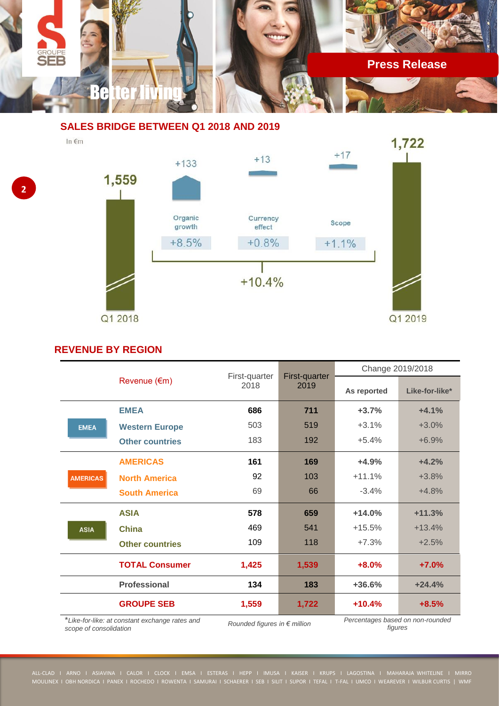

# **SALES BRIDGE BETWEEN Q1 2018 AND 2019**

In €m





# **REVENUE BY REGION**

|                                                 | Revenue (€m)           |                       | First-quarter<br>2019 | Change 2019/2018                 |                |
|-------------------------------------------------|------------------------|-----------------------|-----------------------|----------------------------------|----------------|
|                                                 |                        | First-quarter<br>2018 |                       | As reported                      | Like-for-like* |
|                                                 | <b>EMEA</b>            | 686                   | 711                   | $+3.7%$                          | $+4.1%$        |
| <b>EMEA</b>                                     | <b>Western Europe</b>  | 503                   | 519                   | $+3.1%$                          | $+3.0%$        |
|                                                 | <b>Other countries</b> | 183                   | 192                   | $+5.4%$                          | $+6.9%$        |
|                                                 | <b>AMERICAS</b>        | 161                   | 169                   | $+4.9%$                          | $+4.2%$        |
| <b>AMERICAS</b>                                 | <b>North America</b>   | 92                    | 103                   | $+11.1%$                         | $+3.8%$        |
|                                                 | <b>South America</b>   | 69                    | 66                    | $-3.4%$                          | $+4.8%$        |
|                                                 | <b>ASIA</b>            | 578                   | 659                   | $+14.0%$                         | $+11.3%$       |
| <b>ASIA</b>                                     | <b>China</b>           | 469                   | 541                   | $+15.5%$                         | $+13.4%$       |
|                                                 | <b>Other countries</b> | 109                   | 118                   | $+7.3%$                          | $+2.5%$        |
|                                                 | <b>TOTAL Consumer</b>  | 1,425                 | 1,539                 | $+8.0%$                          | $+7.0%$        |
|                                                 | <b>Professional</b>    | 134                   | 183                   | +36.6%                           | $+24.4%$       |
|                                                 | <b>GROUPE SEB</b>      | 1,559                 | 1,722                 | $+10.4%$                         | $+8.5%$        |
| * Like-for-like: at constant evchange rates and |                        |                       |                       | Percentages hased on non-rounded |                |

\**Like-for-like: at constant exchange rates and* 

*Rounded figures in € million* 

*figures*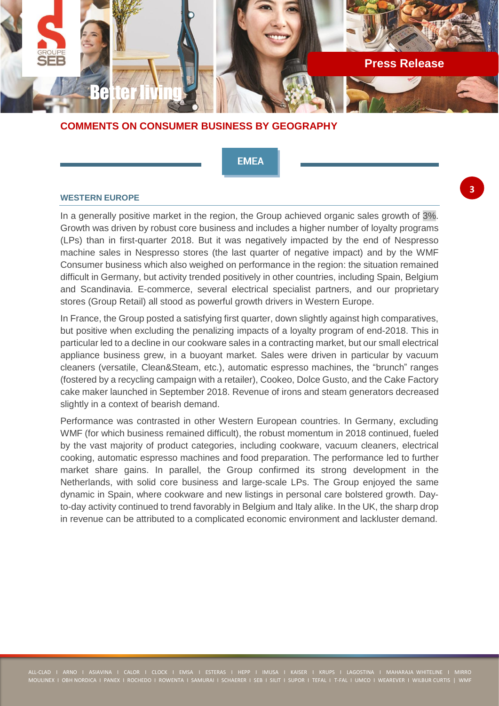

# **COMMENTS ON CONSUMER BUSINESS BY GEOGRAPHY**

**EMEA** 

#### **WESTERN EUROPE**

In a generally positive market in the region, the Group achieved organic sales growth of 3%. Growth was driven by robust core business and includes a higher number of loyalty programs (LPs) than in first-quarter 2018. But it was negatively impacted by the end of Nespresso machine sales in Nespresso stores (the last quarter of negative impact) and by the WMF Consumer business which also weighed on performance in the region: the situation remained difficult in Germany, but activity trended positively in other countries, including Spain, Belgium and Scandinavia. E-commerce, several electrical specialist partners, and our proprietary stores (Group Retail) all stood as powerful growth drivers in Western Europe.

In France, the Group posted a satisfying first quarter, down slightly against high comparatives, but positive when excluding the penalizing impacts of a loyalty program of end-2018. This in particular led to a decline in our cookware sales in a contracting market, but our small electrical appliance business grew, in a buoyant market. Sales were driven in particular by vacuum cleaners (versatile, Clean&Steam, etc.), automatic espresso machines, the "brunch" ranges (fostered by a recycling campaign with a retailer), Cookeo, Dolce Gusto, and the Cake Factory cake maker launched in September 2018. Revenue of irons and steam generators decreased slightly in a context of bearish demand.

Performance was contrasted in other Western European countries. In Germany, excluding WMF (for which business remained difficult), the robust momentum in 2018 continued, fueled by the vast majority of product categories, including cookware, vacuum cleaners, electrical cooking, automatic espresso machines and food preparation. The performance led to further market share gains. In parallel, the Group confirmed its strong development in the Netherlands, with solid core business and large-scale LPs. The Group enjoyed the same dynamic in Spain, where cookware and new listings in personal care bolstered growth. Dayto-day activity continued to trend favorably in Belgium and Italy alike. In the UK, the sharp drop in revenue can be attributed to a complicated economic environment and lackluster demand.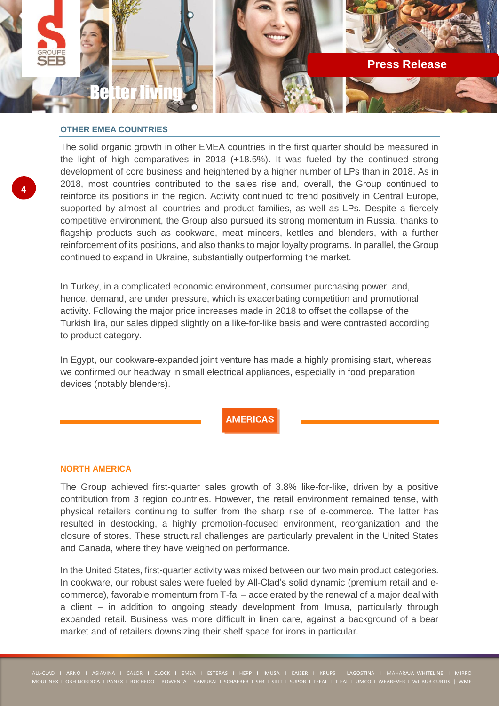

#### **OTHER EMEA COUNTRIES**

The solid organic growth in other EMEA countries in the first quarter should be measured in the light of high comparatives in 2018 (+18.5%). It was fueled by the continued strong development of core business and heightened by a higher number of LPs than in 2018. As in 2018, most countries contributed to the sales rise and, overall, the Group continued to reinforce its positions in the region. Activity continued to trend positively in Central Europe, supported by almost all countries and product families, as well as LPs. Despite a fiercely competitive environment, the Group also pursued its strong momentum in Russia, thanks to flagship products such as cookware, meat mincers, kettles and blenders, with a further reinforcement of its positions, and also thanks to major loyalty programs. In parallel, the Group continued to expand in Ukraine, substantially outperforming the market.

In Turkey, in a complicated economic environment, consumer purchasing power, and, hence, demand, are under pressure, which is exacerbating competition and promotional activity. Following the major price increases made in 2018 to offset the collapse of the Turkish lira, our sales dipped slightly on a like-for-like basis and were contrasted according to product category.

In Egypt, our cookware-expanded joint venture has made a highly promising start, whereas we confirmed our headway in small electrical appliances, especially in food preparation devices (notably blenders).

**AMERICAS** 

#### **NORTH AMERICA**

The Group achieved first-quarter sales growth of 3.8% like-for-like, driven by a positive contribution from 3 region countries. However, the retail environment remained tense, with physical retailers continuing to suffer from the sharp rise of e-commerce. The latter has resulted in destocking, a highly promotion-focused environment, reorganization and the closure of stores. These structural challenges are particularly prevalent in the United States and Canada, where they have weighed on performance.

In the United States, first-quarter activity was mixed between our two main product categories. In cookware, our robust sales were fueled by All-Clad's solid dynamic (premium retail and ecommerce), favorable momentum from T-fal – accelerated by the renewal of a major deal with a client – in addition to ongoing steady development from Imusa, particularly through expanded retail. Business was more difficult in linen care, against a background of a bear market and of retailers downsizing their shelf space for irons in particular.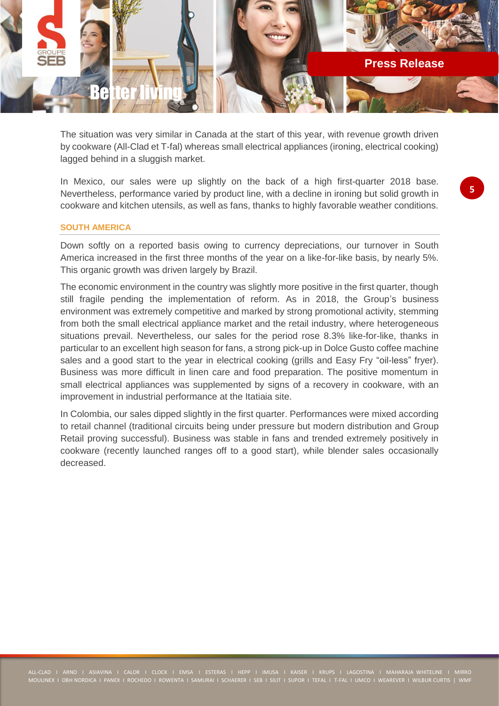

The situation was very similar in Canada at the start of this year, with revenue growth driven by cookware (All-Clad et T-fal) whereas small electrical appliances (ironing, electrical cooking) lagged behind in a sluggish market.

In Mexico, our sales were up slightly on the back of a high first-quarter 2018 base. Nevertheless, performance varied by product line, with a decline in ironing but solid growth in cookware and kitchen utensils, as well as fans, thanks to highly favorable weather conditions.

#### **SOUTH AMERICA**

Down softly on a reported basis owing to currency depreciations, our turnover in South America increased in the first three months of the year on a like-for-like basis, by nearly 5%. This organic growth was driven largely by Brazil.

The economic environment in the country was slightly more positive in the first quarter, though still fragile pending the implementation of reform. As in 2018, the Group's business environment was extremely competitive and marked by strong promotional activity, stemming from both the small electrical appliance market and the retail industry, where heterogeneous situations prevail. Nevertheless, our sales for the period rose 8.3% like-for-like, thanks in particular to an excellent high season for fans, a strong pick-up in Dolce Gusto coffee machine sales and a good start to the year in electrical cooking (grills and Easy Fry "oil-less" fryer). Business was more difficult in linen care and food preparation. The positive momentum in small electrical appliances was supplemented by signs of a recovery in cookware, with an improvement in industrial performance at the Itatiaia site.

In Colombia, our sales dipped slightly in the first quarter. Performances were mixed according to retail channel (traditional circuits being under pressure but modern distribution and Group Retail proving successful). Business was stable in fans and trended extremely positively in cookware (recently launched ranges off to a good start), while blender sales occasionally decreased.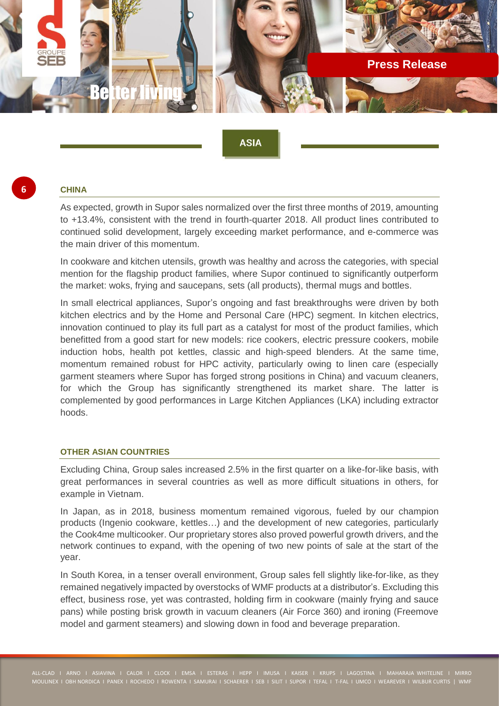

# **ASIA**

# **6**

#### **CHINA**

As expected, growth in Supor sales normalized over the first three months of 2019, amounting to +13.4%, consistent with the trend in fourth-quarter 2018. All product lines contributed to continued solid development, largely exceeding market performance, and e-commerce was the main driver of this momentum.

In cookware and kitchen utensils, growth was healthy and across the categories, with special mention for the flagship product families, where Supor continued to significantly outperform the market: woks, frying and saucepans, sets (all products), thermal mugs and bottles.

In small electrical appliances, Supor's ongoing and fast breakthroughs were driven by both kitchen electrics and by the Home and Personal Care (HPC) segment. In kitchen electrics, innovation continued to play its full part as a catalyst for most of the product families, which benefitted from a good start for new models: rice cookers, electric pressure cookers, mobile induction hobs, health pot kettles, classic and high-speed blenders. At the same time, momentum remained robust for HPC activity, particularly owing to linen care (especially garment steamers where Supor has forged strong positions in China) and vacuum cleaners, for which the Group has significantly strengthened its market share. The latter is complemented by good performances in Large Kitchen Appliances (LKA) including extractor hoods.

### **OTHER ASIAN COUNTRIES**

Excluding China, Group sales increased 2.5% in the first quarter on a like-for-like basis, with great performances in several countries as well as more difficult situations in others, for example in Vietnam.

In Japan, as in 2018, business momentum remained vigorous, fueled by our champion products (Ingenio cookware, kettles…) and the development of new categories, particularly the Cook4me multicooker. Our proprietary stores also proved powerful growth drivers, and the network continues to expand, with the opening of two new points of sale at the start of the year.

In South Korea, in a tenser overall environment, Group sales fell slightly like-for-like, as they remained negatively impacted by overstocks of WMF products at a distributor's. Excluding this effect, business rose, yet was contrasted, holding firm in cookware (mainly frying and sauce pans) while posting brisk growth in vacuum cleaners (Air Force 360) and ironing (Freemove model and garment steamers) and slowing down in food and beverage preparation.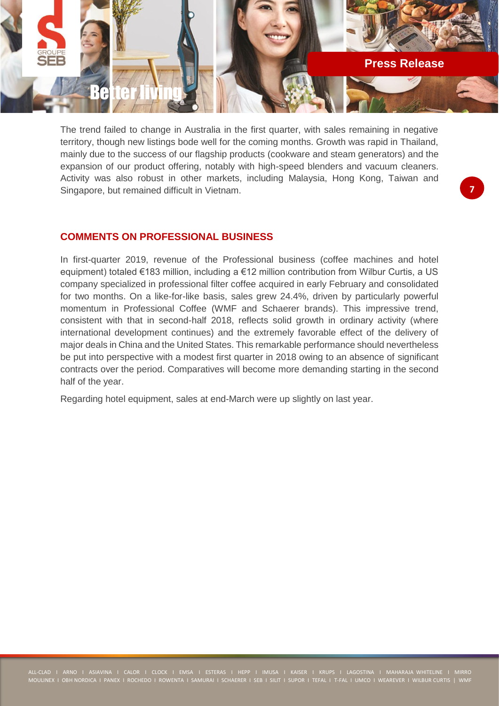

The trend failed to change in Australia in the first quarter, with sales remaining in negative territory, though new listings bode well for the coming months. Growth was rapid in Thailand, mainly due to the success of our flagship products (cookware and steam generators) and the expansion of our product offering, notably with high-speed blenders and vacuum cleaners. Activity was also robust in other markets, including Malaysia, Hong Kong, Taiwan and Singapore, but remained difficult in Vietnam.

# **COMMENTS ON PROFESSIONAL BUSINESS**

In first-quarter 2019, revenue of the Professional business (coffee machines and hotel equipment) totaled €183 million, including a €12 million contribution from Wilbur Curtis, a US company specialized in professional filter coffee acquired in early February and consolidated for two months. On a like-for-like basis, sales grew 24.4%, driven by particularly powerful momentum in Professional Coffee (WMF and Schaerer brands). This impressive trend, consistent with that in second-half 2018, reflects solid growth in ordinary activity (where international development continues) and the extremely favorable effect of the delivery of major deals in China and the United States. This remarkable performance should nevertheless be put into perspective with a modest first quarter in 2018 owing to an absence of significant contracts over the period. Comparatives will become more demanding starting in the second half of the year.

Regarding hotel equipment, sales at end-March were up slightly on last year.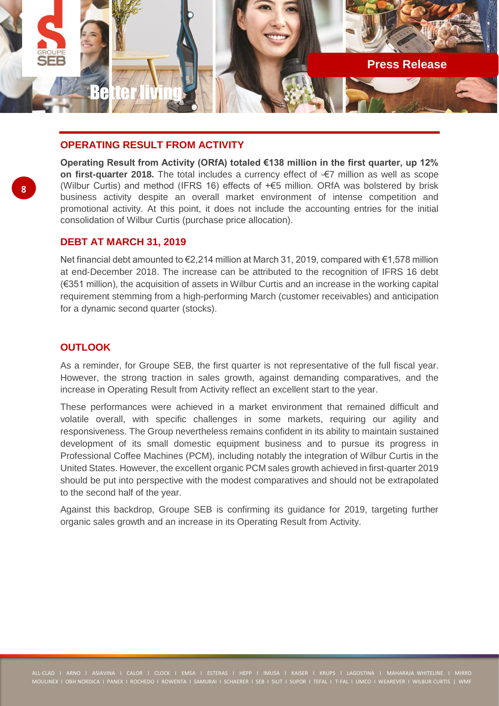

# **OPERATING RESULT FROM ACTIVITY**

**Operating Result from Activity (ORfA) totaled €138 million in the first quarter, up 12% on first-quarter 2018.** The total includes a currency effect of -€7 million as well as scope (Wilbur Curtis) and method (IFRS 16) effects of +€5 million. ORfA was bolstered by brisk business activity despite an overall market environment of intense competition and promotional activity. At this point, it does not include the accounting entries for the initial consolidation of Wilbur Curtis (purchase price allocation).

### **DEBT AT MARCH 31, 2019**

Net financial debt amounted to €2,214 million at March 31, 2019, compared with €1,578 million at end-December 2018. The increase can be attributed to the recognition of IFRS 16 debt (€351 million), the acquisition of assets in Wilbur Curtis and an increase in the working capital requirement stemming from a high-performing March (customer receivables) and anticipation for a dynamic second quarter (stocks).

# **OUTLOOK**

As a reminder, for Groupe SEB, the first quarter is not representative of the full fiscal year. However, the strong traction in sales growth, against demanding comparatives, and the increase in Operating Result from Activity reflect an excellent start to the year.

These performances were achieved in a market environment that remained difficult and volatile overall, with specific challenges in some markets, requiring our agility and responsiveness. The Group nevertheless remains confident in its ability to maintain sustained development of its small domestic equipment business and to pursue its progress in Professional Coffee Machines (PCM), including notably the integration of Wilbur Curtis in the United States. However, the excellent organic PCM sales growth achieved in first-quarter 2019 should be put into perspective with the modest comparatives and should not be extrapolated to the second half of the year.

Against this backdrop, Groupe SEB is confirming its guidance for 2019, targeting further organic sales growth and an increase in its Operating Result from Activity.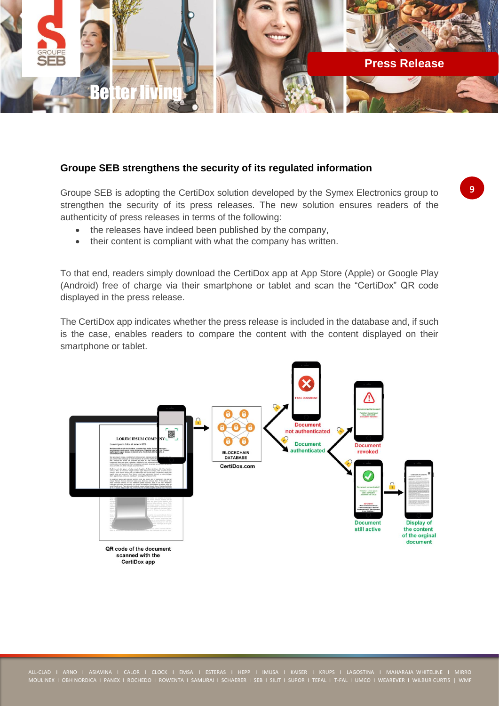

### **Groupe SEB strengthens the security of its regulated information**

Groupe SEB is adopting the CertiDox solution developed by the Symex Electronics group to strengthen the security of its press releases. The new solution ensures readers of the authenticity of press releases in terms of the following:

- the releases have indeed been published by the company,
- their content is compliant with what the company has written.

To that end, readers simply download the CertiDox app at App Store (Apple) or Google Play (Android) free of charge via their smartphone or tablet and scan the "CertiDox" QR code displayed in the press release.

The CertiDox app indicates whether the press release is included in the database and, if such is the case, enables readers to compare the content with the content displayed on their smartphone or tablet.

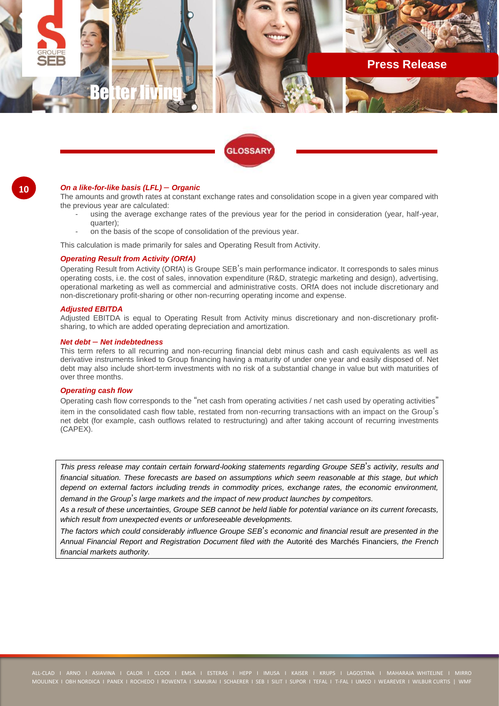



#### **10**

#### *On a like-for-like basis (LFL)* – *Organic*

The amounts and growth rates at constant exchange rates and consolidation scope in a given year compared with the previous year are calculated:

- using the average exchange rates of the previous year for the period in consideration (year, half-year, quarter);
- on the basis of the scope of consolidation of the previous year.

This calculation is made primarily for sales and Operating Result from Activity.

#### *Operating Result from Activity (ORfA)*

Operating Result from Activity (ORfA) is Groupe SEB's main performance indicator. It corresponds to sales minus operating costs, i.e. the cost of sales, innovation expenditure (R&D, strategic marketing and design), advertising, operational marketing as well as commercial and administrative costs. ORfA does not include discretionary and non-discretionary profit-sharing or other non-recurring operating income and expense.

#### *Adjusted EBITDA*

Adjusted EBITDA is equal to Operating Result from Activity minus discretionary and non-discretionary profitsharing, to which are added operating depreciation and amortization.

#### *Net debt* – *Net indebtedness*

This term refers to all recurring and non-recurring financial debt minus cash and cash equivalents as well as derivative instruments linked to Group financing having a maturity of under one year and easily disposed of. Net debt may also include short-term investments with no risk of a substantial change in value but with maturities of over three months.

#### *Operating cash flow*

Operating cash flow corresponds to the "net cash from operating activities / net cash used by operating activities" item in the consolidated cash flow table, restated from non-recurring transactions with an impact on the Group's net debt (for example, cash outflows related to restructuring) and after taking account of recurring investments (CAPEX).

*This press release may contain certain forward-looking statements regarding Groupe SEB*'*s activity, results and financial situation. These forecasts are based on assumptions which seem reasonable at this stage, but which depend on external factors including trends in commodity prices, exchange rates, the economic environment, demand in the Group*'*s large markets and the impact of new product launches by competitors.*

*As a result of these uncertainties, Groupe SEB cannot be held liable for potential variance on its current forecasts, which result from unexpected events or unforeseeable developments.*

*The factors which could considerably influence Groupe SEB*'*s economic and financial result are presented in the Annual Financial Report and Registration Document filed with the* Autorité des Marchés Financiers*, the French financial markets authority.*